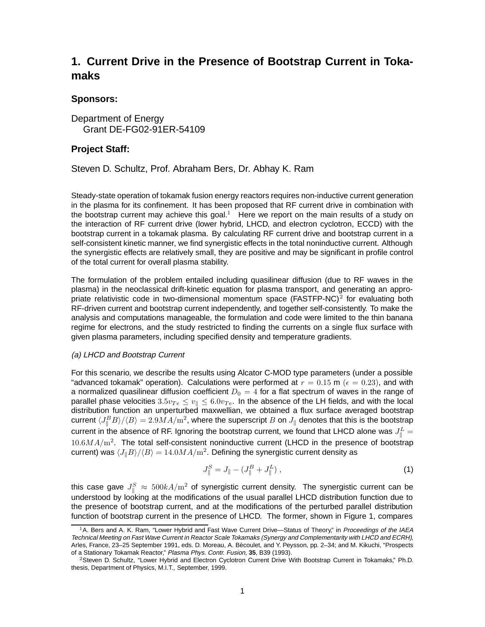# **1. Current Drive in the Presence of Bootstrap Current in Tokamaks**

### **Sponsors:**

Department of Energy Grant DE-FG02-91ER-54109

### **Project Staff:**

Steven D. Schultz, Prof. Abraham Bers, Dr. Abhay K. Ram

Steady-state operation of tokamak fusion energy reactors requires non-inductive current generation in the plasma for its confinement. It has been proposed that RF current drive in combination with the bootstrap current may achieve this goal.<sup>1</sup> Here we report on the main results of a study on the interaction of RF current drive (lower hybrid, LHCD, and electron cyclotron, ECCD) with the bootstrap current in a tokamak plasma. By calculating RF current drive and bootstrap current in a self-consistent kinetic manner, we find synergistic effects in the total noninductive current. Although the synergistic effects are relatively small, they are positive and may be significant in profile control of the total current for overall plasma stability.

The formulation of the problem entailed including quasilinear diffusion (due to RF waves in the plasma) in the neoclassical drift-kinetic equation for plasma transport, and generating an appropriate relativistic code in two-dimensional momentum space ( $\text{FASTFP-NC}$ )<sup>2</sup> for evaluating both RF-driven current and bootstrap current independently, and together self-consistently. To make the analysis and computations manageable, the formulation and code were limited to the thin banana regime for electrons, and the study restricted to finding the currents on a single flux surface with given plasma parameters, including specified density and temperature gradients.

#### (a) LHCD and Bootstrap Current

For this scenario, we describe the results using Alcator C-MOD type parameters (under a possible "advanced tokamak" operation). Calculations were performed at  $r = 0.15$  m ( $\epsilon = 0.23$ ), and with a normalized quasilinear diffusion coefficient  $D_0 = 4$  for a flat spectrum of waves in the range of parallel phase velocities  $3.5v_{Te} \le v_{\parallel} \le 6.0v_{Te}$ . In the absence of the LH fields, and with the local distribution function an unperturbed maxwellian, we obtained a flux surface averaged bootstrap current  $\langle J_{\parallel}^{B}B\rangle/\langle B\rangle=2.9MA/m^{2}$ , where the superscript  $B$  on  $J_{\parallel}$  denotes that this is the bootstrap current in the absence of RF. Ignoring the bootstrap current, we found that LHCD alone was  $J_{\parallel}^L$  =  $10.6M_A/\text{m}^2$ . The total self-consistent noninductive current (LHCD in the presence of bootstrap current) was  $\langle J_{\parallel}B \rangle / \langle B \rangle = 14.0 M A/m^2$ . Defining the synergistic current density as

$$
J_{\parallel}^{S} = J_{\parallel} - (J_{\parallel}^{B} + J_{\parallel}^{L}), \qquad (1)
$$

this case gave  $J_{\parallel}^S \approx 500 k A/m^2$  of synergistic current density. The synergistic current can be understood by looking at the modifications of the usual parallel LHCD distribution function due to the presence of bootstrap current, and at the modifications of the perturbed parallel distribution function of bootstrap current in the presence of LHCD. The former, shown in Figure 1, compares

<sup>&</sup>lt;sup>1</sup>A. Bers and A. K. Ram, "Lower Hybrid and Fast Wave Current Drive—Status of Theory," in Proceedings of the IAEA Technical Meeting on Fast Wave Current in Reactor Scale Tokamaks (Synergy and Complementarity with LHCD and ECRH), Arles, France, 23–25 September 1991, eds. D. Moreau, A. Becoulet, and Y. Peysson, pp. 2–34; and M. Kikuchi, "Prospects ´ of a Stationary Tokamak Reactor," Plasma Phys. Contr. Fusion, **35**, B39 (1993).

<sup>2</sup>Steven D. Schultz, "Lower Hybrid and Electron Cyclotron Current Drive With Bootstrap Current in Tokamaks," Ph.D. thesis, Department of Physics, M.I.T., September, 1999.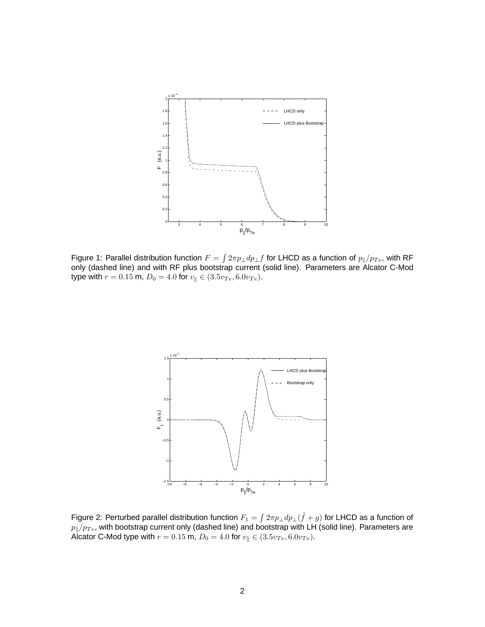

Figure 1: Parallel distribution function  $F = \int 2\pi p_\perp dp_\perp f$  for LHCD as a function of  $p_\parallel/p_{Te}$ , with RF only (dashed line) and with RF plus bootstrap current (solid line). Parameters are Alcator C-Mod type with  $r = 0.15$  m,  $D_0 = 4.0$  for  $v_{\parallel} \in (3.5v_{Te}, 6.0v_{Te})$ .



Figure 2: Perturbed parallel distribution function  $F_1 = \int 2\pi p_\perp dp_\perp(\tilde f + g)$  for LHCD as a function of  $p_{\parallel}/p_{Te}$ , with bootstrap current only (dashed line) and bootstrap with LH (solid line). Parameters are Alcator C-Mod type with  $r = 0.15$  m,  $D_0 = 4.0$  for  $v_{\parallel} \in (3.5v_{Te}, 6.0v_{Te})$ .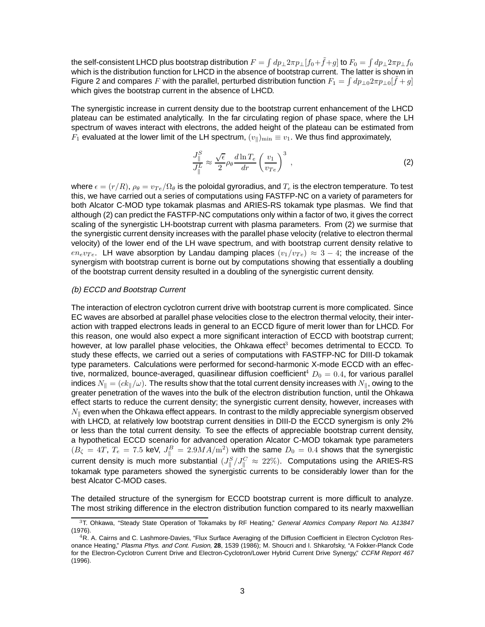the self-consistent LHCD plus bootstrap distribution  $F = \int dp_\perp 2\pi p_\perp [f_0 + \tilde{f} + g]$  to  $F_0 = \int dp_\perp 2\pi p_\perp f_0$ which is the distribution function for LHCD in the absence of bootstrap current. The latter is shown in Figure 2 and compares F with the parallel, perturbed distribution function  $F_1 = \int dp_{\perp 0} 2\pi p_{\perp 0}[\tilde{f} + g]$ which gives the bootstrap current in the absence of LHCD.

The synergistic increase in current density due to the bootstrap current enhancement of the LHCD plateau can be estimated analytically. In the far circulating region of phase space, where the LH spectrum of waves interact with electrons, the added height of the plateau can be estimated from  $F_1$  evaluated at the lower limit of the LH spectrum,  $(v_{\parallel})_{\text{min}} \equiv v_1$ . We thus find approximately,

$$
\frac{J_{\parallel}^{S}}{J_{\parallel}^{L}} \approx \frac{\sqrt{\epsilon}}{2} \rho_{\theta} \frac{d \ln T_e}{dr} \left(\frac{v_1}{v_{Te}}\right)^3 , \qquad (2)
$$

where  $\epsilon = (r/R)$ ,  $\rho_\theta = v_{Te}/\Omega_\theta$  is the poloidal gyroradius, and  $T_e$  is the electron temperature. To test this, we have carried out a series of computations using FASTFP-NC on a variety of parameters for both Alcator C-MOD type tokamak plasmas and ARIES-RS tokamak type plasmas. We find that although (2) can predict the FASTFP-NC computations only within a factor of two, it gives the correct scaling of the synergistic LH-bootstrap current with plasma parameters. From (2) we surmise that the synergistic current density increases with the parallel phase velocity (relative to electron thermal velocity) of the lower end of the LH wave spectrum, and with bootstrap current density relative to  $en_e v_{Te}$ . LH wave absorption by Landau damping places  $(v_1/v_{Te}) \approx 3 - 4$ ; the increase of the synergism with bootstrap current is borne out by computations showing that essentially a doubling of the bootstrap current density resulted in a doubling of the synergistic current density.

#### (b) ECCD and Bootstrap Current

The interaction of electron cyclotron current drive with bootstrap current is more complicated. Since EC waves are absorbed at parallel phase velocities close to the electron thermal velocity, their interaction with trapped electrons leads in general to an ECCD figure of merit lower than for LHCD. For this reason, one would also expect a more significant interaction of ECCD with bootstrap current; however, at low parallel phase velocities, the Ohkawa effect<sup>3</sup> becomes detrimental to ECCD. To study these effects, we carried out a series of computations with FASTFP-NC for DIII-D tokamak type parameters. Calculations were performed for second-harmonic X-mode ECCD with an effective, normalized, bounce-averaged, quasilinear diffusion coefficient<sup>4</sup>  $D_0 = 0.4$ , for various parallel indices  $N_{\parallel} = (ck_{\parallel}/\omega)$ . The results show that the total current density increases with  $N_{\parallel}$ , owing to the greater penetration of the waves into the bulk of the electron distribution function, until the Ohkawa effect starts to reduce the current density; the synergistic current density, however, increases with  $N_{\parallel}$  even when the Ohkawa effect appears. In contrast to the mildly appreciable synergism observed with LHCD, at relatively low bootstrap current densities in DIII-D the ECCD synergism is only 2% or less than the total current density. To see the effects of appreciable bootstrap current density, a hypothetical ECCD scenario for advanced operation Alcator C-MOD tokamak type parameters  $(B_{\zeta} = 4T, T_e = 7.5$  keV,  $J_{\parallel}^B = 2.9 M A/\text{m}^2$ ) with the same  $D_0 = 0.4$  shows that the synergistic current density is much more substantial  $(J_{\parallel}^S/J_{\parallel}^C \approx 22\%)$ . Computations using the ARIES-RS tokamak type parameters showed the synergistic currents to be considerably lower than for the best Alcator C-MOD cases.

The detailed structure of the synergism for ECCD bootstrap current is more difficult to analyze. The most striking difference in the electron distribution function compared to its nearly maxwellian

<sup>&</sup>lt;sup>3</sup>T. Ohkawa, "Steady State Operation of Tokamaks by RF Heating," General Atomics Company Report No. A13847 (1976).

 $^{4}R$ . A. Cairns and C. Lashmore-Davies, "Flux Surface Averaging of the Diffusion Coefficient in Electron Cyclotron Resonance Heating," Plasma Phys. and Cont. Fusion, **28**, 1539 (1986); M. Shoucri and I. Shkarofsky, "A Fokker-Planck Code for the Electron-Cyclotron Current Drive and Electron-Cyclotron/Lower Hybrid Current Drive Synergy," CCFM Report 467 (1996).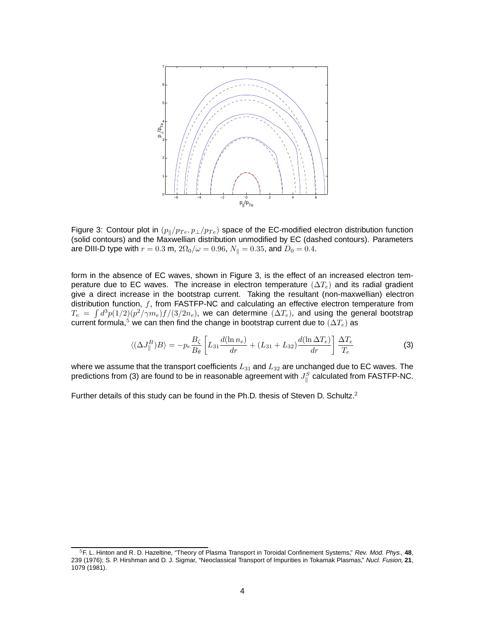

Figure 3: Contour plot in  $(p_{\parallel}/p_{Te}, p_{\perp}/p_{Te})$  space of the EC-modified electron distribution function (solid contours) and the Maxwellian distribution unmodified by EC (dashed contours). Parameters are DIII-D type with  $r = 0.3$  m,  $2\Omega_0/\omega = 0.96$ ,  $N_{\parallel} = 0.35$ , and  $D_0 = 0.4$ .

form in the absence of EC waves, shown in Figure 3, is the effect of an increased electron temperature due to EC waves. The increase in electron temperature ( $\Delta T_e$ ) and its radial gradient give a direct increase in the bootstrap current. Taking the resultant (non-maxwellian) electron distribution function,  $f$ , from FASTFP-NC and calculating an effective electron temperature from  $T_e = \int d^3p(1/2)(p^2/\gamma m_e)f/(3/2n_e)$ , we can determine  $(\Delta T_e)$ , and using the general bootstrap current formula,<sup>5</sup> we can then find the change in bootstrap current due to  $(\Delta T_e)$  as

$$
\langle (\Delta J_{\parallel}^{B})B \rangle = -p_{e} \frac{B_{\zeta}}{B_{\theta}} \left[ L_{31} \frac{d(\ln n_{e})}{dr} + (L_{31} + L_{32}) \frac{d(\ln \Delta T_{e})}{dr} \right] \frac{\Delta T_{e}}{T_{e}}
$$
(3)

where we assume that the transport coefficients  $L_{31}$  and  $L_{32}$  are unchanged due to EC waves. The predictions from (3) are found to be in reasonable agreement with  $J_{\parallel}^S$  calculated from FASTFP-NC.

Further details of this study can be found in the Ph.D. thesis of Steven D. Schultz. $2$ 

<sup>5</sup>F. L. Hinton and R. D. Hazeltine, "Theory of Plasma Transport in Toroidal Confinement Systems," Rev. Mod. Phys., **48**, 239 (1976); S. P. Hirshman and D. J. Sigmar, "Neoclassical Transport of Impurities in Tokamak Plasmas," Nucl. Fusion, **21**, 1079 (1981).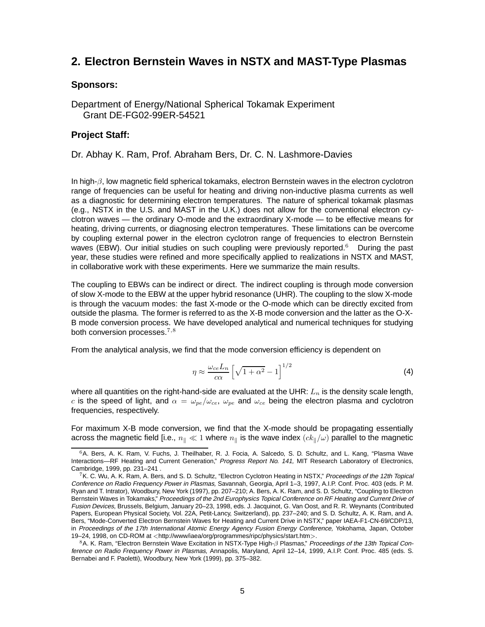## **2. Electron Bernstein Waves in NSTX and MAST-Type Plasmas**

### **Sponsors:**

Department of Energy/National Spherical Tokamak Experiment Grant DE-FG02-99ER-54521

### **Project Staff:**

Dr. Abhay K. Ram, Prof. Abraham Bers, Dr. C. N. Lashmore-Davies

In high-β, low magnetic field spherical tokamaks, electron Bernstein waves in the electron cyclotron range of frequencies can be useful for heating and driving non-inductive plasma currents as well as a diagnostic for determining electron temperatures. The nature of spherical tokamak plasmas (e.g., NSTX in the U.S. and MAST in the U.K.) does not allow for the conventional electron cyclotron waves — the ordinary O-mode and the extraordinary X-mode — to be effective means for heating, driving currents, or diagnosing electron temperatures. These limitations can be overcome by coupling external power in the electron cyclotron range of frequencies to electron Bernstein waves (EBW). Our initial studies on such coupling were previously reported.<sup>6</sup> During the past year, these studies were refined and more specifically applied to realizations in NSTX and MAST, in collaborative work with these experiments. Here we summarize the main results.

The coupling to EBWs can be indirect or direct. The indirect coupling is through mode conversion of slow X-mode to the EBW at the upper hybrid resonance (UHR). The coupling to the slow X-mode is through the vacuum modes: the fast X-mode or the O-mode which can be directly excited from outside the plasma. The former is referred to as the X-B mode conversion and the latter as the O-X-B mode conversion process. We have developed analytical and numerical techniques for studying both conversion processes.  $7,8$ 

From the analytical analysis, we find that the mode conversion efficiency is dependent on

$$
\eta \approx \frac{\omega_{ce} L_n}{c\alpha} \left[ \sqrt{1 + \alpha^2} - 1 \right]^{1/2} \tag{4}
$$

where all quantities on the right-hand-side are evaluated at the UHR:  $L_n$  is the density scale length, c is the speed of light, and  $\alpha = \omega_{pe}/\omega_{ce}$ ,  $\omega_{pe}$  and  $\omega_{ce}$  being the electron plasma and cyclotron frequencies, respectively.

For maximum X-B mode conversion, we find that the X-mode should be propagating essentially across the magnetic field [i.e.,  $n_{\parallel} \ll 1$  where  $n_{\parallel}$  is the wave index  $(ck_{\parallel}/\omega)$  parallel to the magnetic

<sup>6</sup>A. Bers, A. K. Ram, V. Fuchs, J. Theilhaber, R. J. Focia, A. Salcedo, S. D. Schultz, and L. Kang, "Plasma Wave Interactions-RF Heating and Current Generation," Progress Report No. 141, MIT Research Laboratory of Electronics, Cambridge, 1999, pp. 231–241 .

<sup>7</sup>K. C. Wu, A. K. Ram, A. Bers, and S. D. Schultz, "Electron Cyclotron Heating in NSTX," Proceedings of the 12th Topical Conference on Radio Frequency Power in Plasmas, Savannah, Georgia, April 1–3, 1997, A.I.P. Conf. Proc. 403 (eds. P. M. Ryan and T. Intrator), Woodbury, New York (1997), pp. 207–210; A. Bers, A. K. Ram, and S. D. Schultz, "Coupling to Electron Bernstein Waves in Tokamaks," Proceedings of the 2nd Europhysics Topical Conference on RF Heating and Current Drive of Fusion Devices, Brussels, Belgium, January 20–23, 1998, eds. J. Jacquinot, G. Van Oost, and R. R. Weynants (Contributed Papers, European Physical Society, Vol. 22A, Petit-Lancy, Switzerland), pp. 237–240; and S. D. Schultz, A. K. Ram, and A. Bers, "Mode-Converted Electron Bernstein Waves for Heating and Current Drive in NSTX," paper IAEA-F1-CN-69/CDP/13, in Proceedings of the 17th International Atomic Energy Agency Fusion Energy Conference, Yokohama, Japan, October 19–24, 1998, on CD-ROM at <http://www/iaea/org/programmes/ripc/physics/start.htm>.

<sup>8</sup>A. K. Ram, "Electron Bernstein Wave Excitation in NSTX-Type High-β Plasmas," Proceedings of the 13th Topical Conference on Radio Frequency Power in Plasmas, Annapolis, Maryland, April 12–14, 1999, A.I.P. Conf. Proc. 485 (eds. S. Bernabei and F. Paoletti), Woodbury, New York (1999), pp. 375–382.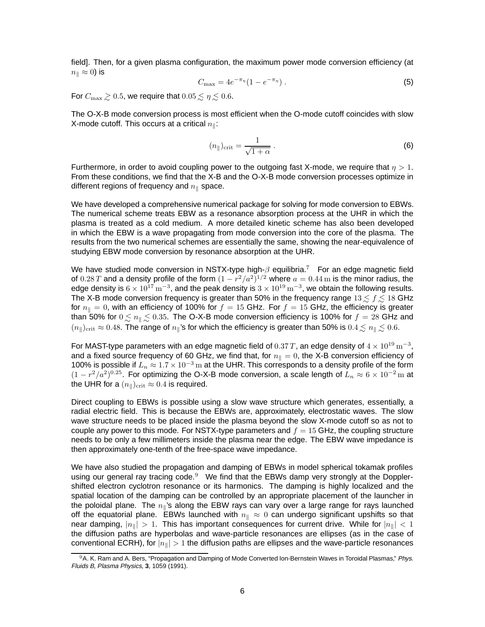field]. Then, for a given plasma configuration, the maximum power mode conversion efficiency (at  $n_{\parallel} \approx 0$ ) is

$$
C_{\max} = 4e^{-\pi_{\eta}}(1 - e^{-\pi_{\eta}}). \tag{5}
$$

For  $C_{\text{max}} \ge 0.5$ , we require that  $0.05 \le \eta \le 0.6$ .

The O-X-B mode conversion process is most efficient when the O-mode cutoff coincides with slow X-mode cutoff. This occurs at a critical  $n_{\parallel}$ :

$$
(n_{\parallel})_{\text{crit}} = \frac{1}{\sqrt{1+\alpha}} \ . \tag{6}
$$

Furthermore, in order to avoid coupling power to the outgoing fast X-mode, we require that  $\eta > 1$ . From these conditions, we find that the X-B and the O-X-B mode conversion processes optimize in different regions of frequency and  $n_{\parallel}$  space.

We have developed a comprehensive numerical package for solving for mode conversion to EBWs. The numerical scheme treats EBW as a resonance absorption process at the UHR in which the plasma is treated as a cold medium. A more detailed kinetic scheme has also been developed in which the EBW is a wave propagating from mode conversion into the core of the plasma. The results from the two numerical schemes are essentially the same, showing the near-equivalence of studying EBW mode conversion by resonance absorption at the UHR.

We have studied mode conversion in NSTX-type high- $\beta$  equilibria.<sup>7</sup> For an edge magnetic field of 0.28 T and a density profile of the form  $(1 - r^2/a^2)^{1/2}$  where  $a = 0.44$  m is the minor radius, the edge density is  $6 \times 10^{17}$  m<sup>-3</sup>, and the peak density is  $3 \times 10^{19}$  m<sup>-3</sup>, we obtain the following results. The X-B mode conversion frequency is greater than 50% in the frequency range  $13 \le f \le 18$  GHz for  $n_{\parallel} = 0$ , with an efficiency of 100% for  $f = 15$  GHz. For  $f = 15$  GHz, the efficiency is greater than 50% for  $0 \lesssim n_{\parallel} \lesssim 0.35$ . The O-X-B mode conversion efficiency is 100% for  $f = 28$  GHz and  $(n_{\parallel})_{\text{crit}} \approx 0.48$ . The range of  $n_{\parallel}$ 's for which the efficiency is greater than 50% is  $0.4 \lesssim n_{\parallel} \lesssim 0.6$ .

For MAST-type parameters with an edge magnetic field of  $0.37 T$ , an edge density of  $4 \times 10^{19} \text{ m}^{-3}$ , and a fixed source frequency of 60 GHz, we find that, for  $n_{\parallel} = 0$ , the X-B conversion efficiency of 100% is possible if  $L_n \approx 1.7 \times 10^{-3}$  m at the UHR. This corresponds to a density profile of the form  $(1 - r^2/a^2)^{0.25}$ . For optimizing the O-X-B mode conversion, a scale length of  $L_n \approx 6 \times 10^{-2}$  m at the UHR for a  $(n_{\parallel})_{\text{crit}} \approx 0.4$  is required.

Direct coupling to EBWs is possible using a slow wave structure which generates, essentially, a radial electric field. This is because the EBWs are, approximately, electrostatic waves. The slow wave structure needs to be placed inside the plasma beyond the slow X-mode cutoff so as not to couple any power to this mode. For NSTX-type parameters and  $f = 15$  GHz, the coupling structure needs to be only a few millimeters inside the plasma near the edge. The EBW wave impedance is then approximately one-tenth of the free-space wave impedance.

We have also studied the propagation and damping of EBWs in model spherical tokamak profiles using our general ray tracing code.<sup>9</sup> We find that the EBWs damp very strongly at the Dopplershifted electron cyclotron resonance or its harmonics. The damping is highly localized and the spatial location of the damping can be controlled by an appropriate placement of the launcher in the poloidal plane. The  $n_{\parallel}$ 's along the EBW rays can vary over a large range for rays launched off the equatorial plane. EBWs launched with  $n_{\parallel} \approx 0$  can undergo significant upshifts so that near damping,  $|n_{\parallel}| > 1$ . This has important consequences for current drive. While for  $|n_{\parallel}| < 1$ the diffusion paths are hyperbolas and wave-particle resonances are ellipses (as in the case of conventional ECRH), for  $|n_{\parallel}| > 1$  the diffusion paths are ellipses and the wave-particle resonances

<sup>9</sup>A. K. Ram and A. Bers, "Propagation and Damping of Mode Converted Ion-Bernstein Waves in Toroidal Plasmas," Phys. Fluids B, Plasma Physics, **3**, 1059 (1991).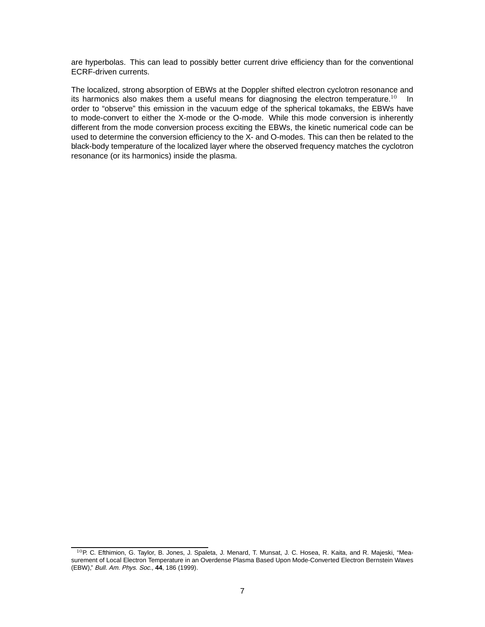are hyperbolas. This can lead to possibly better current drive efficiency than for the conventional ECRF-driven currents.

The localized, strong absorption of EBWs at the Doppler shifted electron cyclotron resonance and its harmonics also makes them a useful means for diagnosing the electron temperature.<sup>10</sup> In order to "observe" this emission in the vacuum edge of the spherical tokamaks, the EBWs have to mode-convert to either the X-mode or the O-mode. While this mode conversion is inherently different from the mode conversion process exciting the EBWs, the kinetic numerical code can be used to determine the conversion efficiency to the X- and O-modes. This can then be related to the black-body temperature of the localized layer where the observed frequency matches the cyclotron resonance (or its harmonics) inside the plasma.

<sup>&</sup>lt;sup>10</sup>P. C. Efthimion, G. Taylor, B. Jones, J. Spaleta, J. Menard, T. Munsat, J. C. Hosea, R. Kaita, and R. Majeski, "Measurement of Local Electron Temperature in an Overdense Plasma Based Upon Mode-Converted Electron Bernstein Waves (EBW)," Bull. Am. Phys. Soc., **44**, 186 (1999).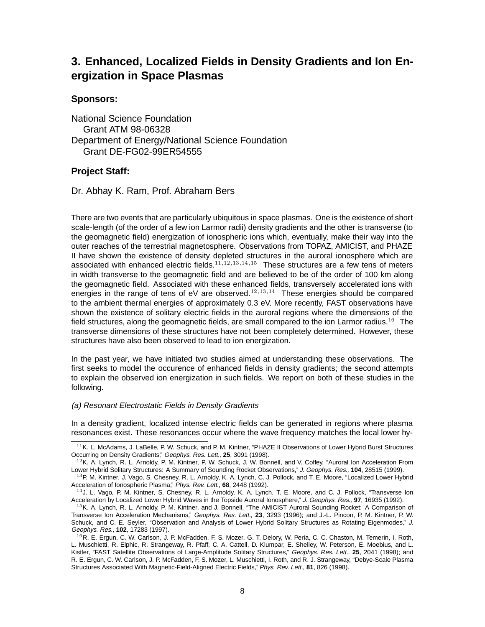# **3. Enhanced, Localized Fields in Density Gradients and Ion Energization in Space Plasmas**

### **Sponsors:**

National Science Foundation Grant ATM 98-06328 Department of Energy/National Science Foundation Grant DE-FG02-99ER54555

## **Project Staff:**

Dr. Abhay K. Ram, Prof. Abraham Bers

There are two events that are particularly ubiquitous in space plasmas. One is the existence of short scale-length (of the order of a few ion Larmor radii) density gradients and the other is transverse (to the geomagnetic field) energization of ionospheric ions which, eventually, make their way into the outer reaches of the terrestrial magnetosphere. Observations from TOPAZ, AMICIST, and PHAZE II have shown the existence of density depleted structures in the auroral ionosphere which are associated with enhanced electric fields.<sup>11,12,13,14,15</sup> These structures are a few tens of meters in width transverse to the geomagnetic field and are believed to be of the order of 100 km along the geomagnetic field. Associated with these enhanced fields, transversely accelerated ions with energies in the range of tens of eV are observed.<sup>12,13,14</sup> These energies should be compared to the ambient thermal energies of approximately 0.3 eV. More recently, FAST observations have shown the existence of solitary electric fields in the auroral regions where the dimensions of the field structures, along the geomagnetic fields, are small compared to the ion Larmor radius.<sup>16</sup> The transverse dimensions of these structures have not been completely determined. However, these structures have also been observed to lead to ion energization.

In the past year, we have initiated two studies aimed at understanding these observations. The first seeks to model the occurence of enhanced fields in density gradients; the second attempts to explain the observed ion energization in such fields. We report on both of these studies in the following.

#### (a) Resonant Electrostatic Fields in Density Gradients

In a density gradient, localized intense electric fields can be generated in regions where plasma resonances exist. These resonances occur where the wave frequency matches the local lower hy-

 $11$ K. L. McAdams, J. LaBelle, P. W. Schuck, and P. M. Kintner, "PHAZE II Observations of Lower Hybrid Burst Structures Occurring on Density Gradients," Geophys. Res. Lett., **25**, 3091 (1998).

 $12$ K. A. Lynch, R. L. Arnoldy, P. M. Kintner, P. W. Schuck, J. W. Bonnell, and V. Coffey, "Auroral Ion Acceleration From Lower Hybrid Solitary Structures: A Summary of Sounding Rocket Observations," J. Geophys. Res., **104**, 28515 (1999).

<sup>&</sup>lt;sup>13</sup>P. M. Kintner, J. Vago, S. Chesney, R. L. Arnoldy, K. A. Lynch, C. J. Pollock, and T. E. Moore, "Localized Lower Hybrid Acceleration of Ionospheric Plasma," Phys. Rev. Lett., **68**, 2448 (1992).

 $14$ J. L. Vago, P. M. Kintner, S. Chesney, R. L. Arnoldy, K. A. Lynch, T. E. Moore, and C. J. Pollock, "Transverse Ion Acceleration by Localized Lower Hybrid Waves in the Topside Auroral Ionosphere," J. Geophys. Res., **97**, 16935 (1992).

 $15$ K. A. Lynch, R. L. Arnoldy, P. M. Kintner, and J. Bonnell, "The AMICIST Auroral Sounding Rocket: A Comparison of Transverse Ion Acceleration Mechanisms," Geophys. Res. Lett., **23**, 3293 (1996); and J.-L. Pincon, P. M. Kintner, P. W. Schuck, and C. E. Seyler, "Observation and Analysis of Lower Hybrid Solitary Structures as Rotating Eigenmodes," J. Geophys. Res., **102**, 17283 (1997).

 $^{16}$ R. E. Ergun, C. W. Carlson, J. P. McFadden, F. S. Mozer, G. T. Delory, W. Peria, C. C. Chaston, M. Temerin, I. Roth, L. Muschietti, R. Elphic, R. Strangeway, R. Pfaff, C. A. Cattell, D. Klumpar, E. Shelley, W. Peterson, E. Moebius, and L. Kistler, "FAST Satellite Observations of Large-Amplitude Solitary Structures," Geophys. Res. Lett., **25**, 2041 (1998); and R. E. Ergun, C. W. Carlson, J. P. McFadden, F. S. Mozer, L. Muschietti, I. Roth, and R. J. Strangeway, "Debye-Scale Plasma Structures Associated With Magnetic-Field-Aligned Electric Fields," Phys. Rev. Lett., **81**, 826 (1998).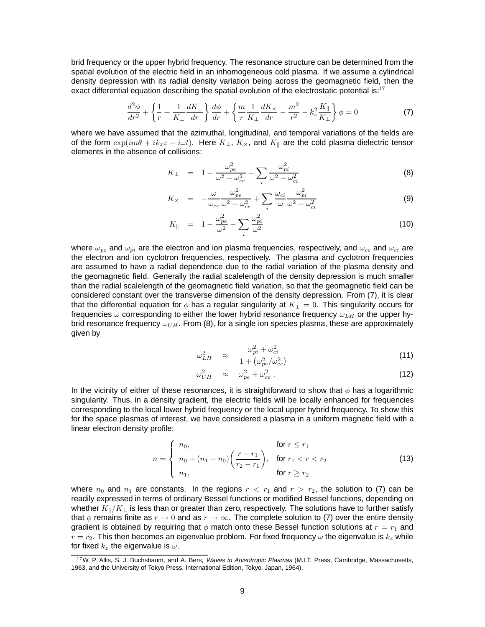brid frequency or the upper hybrid frequency. The resonance structure can be determined from the spatial evolution of the electric field in an inhomogeneous cold plasma. If we assume a cylindrical density depression with its radial density variation being across the geomagnetic field, then the exact differential equation describing the spatial evolution of the electrostatic potential is: $17$ 

$$
\frac{d^2\phi}{dr^2} + \left\{\frac{1}{r} + \frac{1}{K_{\perp}}\frac{dK_{\perp}}{dr}\right\}\frac{d\phi}{dr} + \left\{\frac{m}{r}\frac{1}{K_{\perp}}\frac{dK_{\times}}{dr} - \frac{m^2}{r^2} - k_z^2 \frac{K_{\parallel}}{K_{\perp}}\right\}\phi = 0
$$
\n(7)

where we have assumed that the azimuthal, longitudinal, and temporal variations of the fields are of the form  $\exp(im\theta + ik_zz - i\omega t)$ . Here  $K_{\perp}$ ,  $K_{\times}$ , and  $K_{\parallel}$  are the cold plasma dielectric tensor elements in the absence of collisions:

$$
K_{\perp} = 1 - \frac{\omega_{pe}^2}{\omega^2 - \omega_{ce}^2} - \sum_{i} \frac{\omega_{pi}^2}{\omega^2 - \omega_{ci}^2}
$$
 (8)

$$
K_{\times} = -\frac{\omega}{\omega_{ce}} \frac{\omega_{pe}^2}{\omega^2 - \omega_{ce}^2} + \sum_{i} \frac{\omega_{ci}}{\omega} \frac{\omega_{pi}^2}{\omega^2 - \omega_{ci}^2}
$$
(9)

$$
K_{\parallel} = 1 - \frac{\omega_{pe}^2}{\omega^2} - \sum_{i} \frac{\omega_{pi}^2}{\omega^2}
$$
 (10)

where  $\omega_{pe}$  and  $\omega_{pi}$  are the electron and ion plasma frequencies, respectively, and  $\omega_{ce}$  and  $\omega_{ci}$  are the electron and ion cyclotron frequencies, respectively. The plasma and cyclotron frequencies are assumed to have a radial dependence due to the radial variation of the plasma density and the geomagnetic field. Generally the radial scalelength of the density depression is much smaller than the radial scalelength of the geomagnetic field variation, so that the geomagnetic field can be considered constant over the transverse dimension of the density depression. From (7), it is clear that the differential equation for  $\phi$  has a regular singularity at  $K_{\perp} = 0$ . This singularity occurs for frequencies  $\omega$  corresponding to either the lower hybrid resonance frequency  $\omega_{LH}$  or the upper hybrid resonance frequency  $\omega_{UH}$ . From (8), for a single ion species plasma, these are approximately given by

$$
\omega_{LH}^2 \approx \frac{\omega_{pi}^2 + \omega_{ci}^2}{1 + \left(\omega_{pe}^2/\omega_{ce}^2\right)}\tag{11}
$$

$$
\omega_{UH}^2 \approx \omega_{pe}^2 + \omega_{ce}^2 \,. \tag{12}
$$

In the vicinity of either of these resonances, it is straightforward to show that  $\phi$  has a logarithmic singularity. Thus, in a density gradient, the electric fields will be locally enhanced for frequencies corresponding to the local lower hybrid frequency or the local upper hybrid frequency. To show this for the space plasmas of interest, we have considered a plasma in a uniform magnetic field with a linear electron density profile:

$$
n = \begin{cases} n_0, & \text{for } r \le r_1 \\ n_0 + (n_1 - n_0) \left( \frac{r - r_1}{r_2 - r_1} \right), & \text{for } r_1 < r < r_2 \\ n_1, & \text{for } r \ge r_2 \end{cases} \tag{13}
$$

where  $n_0$  and  $n_1$  are constants. In the regions  $r < r_1$  and  $r > r_2$ , the solution to (7) can be readily expressed in terms of ordinary Bessel functions or modified Bessel functions, depending on whether  $K_{\parallel}/K_{\perp}$  is less than or greater than zero, respectively. The solutions have to further satisfy that  $\phi$  remains finite as  $r \to 0$  and as  $r \to \infty$ . The complete solution to (7) over the entire density gradient is obtained by requiring that  $\phi$  match onto these Bessel function solutions at  $r = r_1$  and  $r = r_2$ . This then becomes an eigenvalue problem. For fixed frequency  $\omega$  the eigenvalue is  $k_z$  while for fixed  $k_z$  the eigenvalue is  $\omega$ .

<sup>&</sup>lt;sup>17</sup>W. P. Allis, S. J. Buchsbaum, and A. Bers, Waves in Anisotropic Plasmas (M.I.T. Press, Cambridge, Massachusetts, 1963, and the University of Tokyo Press, International Edition, Tokyo, Japan, 1964).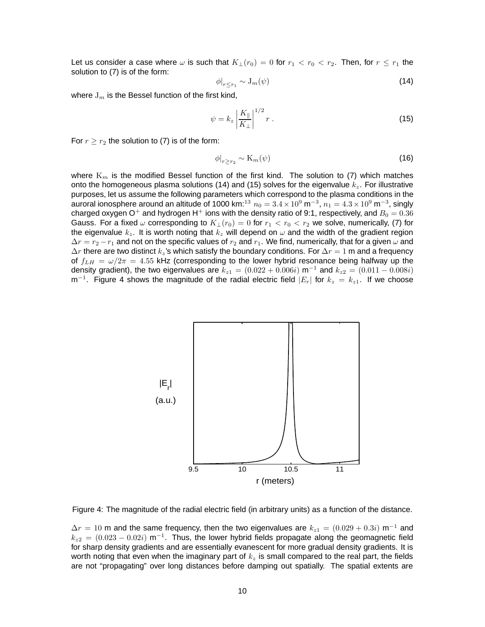Let us consider a case where  $\omega$  is such that  $K_1(r_0)=0$  for  $r_1 < r_0 < r_2$ . Then, for  $r \leq r_1$  the solution to (7) is of the form:

$$
\phi|_{r \le r_1} \sim \mathcal{J}_m(\psi) \tag{14}
$$

where  $J_m$  is the Bessel function of the first kind,

$$
\psi = k_z \left| \frac{K_{\parallel}}{K_{\perp}} \right|^{1/2} r \,. \tag{15}
$$

For  $r \ge r_2$  the solution to (7) is of the form:

$$
\phi|_{r \ge r_2} \sim \mathcal{K}_m(\psi) \tag{16}
$$

where  $K_m$  is the modified Bessel function of the first kind. The solution to (7) which matches onto the homogeneous plasma solutions (14) and (15) solves for the eigenvalue  $k_z$ . For illustrative purposes, let us assume the following parameters which correspond to the plasma conditions in the auroral ionosphere around an altitude of 1000 km:<sup>13</sup>  $n_0 = 3.4 \times 10^9$  m<sup>-3</sup>,  $n_1 = 4.3 \times 10^9$  m<sup>-3</sup>, singly charged oxygen O<sup>+</sup> and hydrogen H<sup>+</sup> ions with the density ratio of 9:1, respectively, and  $B_0 = 0.36$ Gauss. For a fixed  $\omega$  corresponding to  $K_{\perp}(r_0)=0$  for  $r_1 < r_0 < r_2$  we solve, numerically, (7) for the eigenvalue  $k_z$ . It is worth noting that  $k_z$  will depend on  $\omega$  and the width of the gradient region  $\Delta r = r_2 - r_1$  and not on the specific values of  $r_2$  and  $r_1$ . We find, numerically, that for a given  $\omega$  and  $\Delta r$  there are two distinct  $k_z$ 's which satisfy the boundary conditions. For  $\Delta r = 1$  m and a frequency of  $f_{LH} = \omega/2\pi = 4.55$  kHz (corresponding to the lower hybrid resonance being halfway up the density gradient), the two eigenvalues are  $k_{z1} = (0.022 + 0.006i)$  m<sup>-1</sup> and  $k_{z2} = (0.011 - 0.008i)$ m<sup>-1</sup>. Figure 4 shows the magnitude of the radial electric field  $|E_r|$  for  $k_z = k_{z1}$ . If we choose



Figure 4: The magnitude of the radial electric field (in arbitrary units) as a function of the distance.

 $\Delta r = 10$  m and the same frequency, then the two eigenvalues are  $k_{z1} = (0.029 + 0.3i)$  m<sup>-1</sup> and  $k_{z2} = (0.023 - 0.02i)$  m<sup>-1</sup>. Thus, the lower hybrid fields propagate along the geomagnetic field for sharp density gradients and are essentially evanescent for more gradual density gradients. It is worth noting that even when the imaginary part of  $k_z$  is small compared to the real part, the fields are not "propagating" over long distances before damping out spatially. The spatial extents are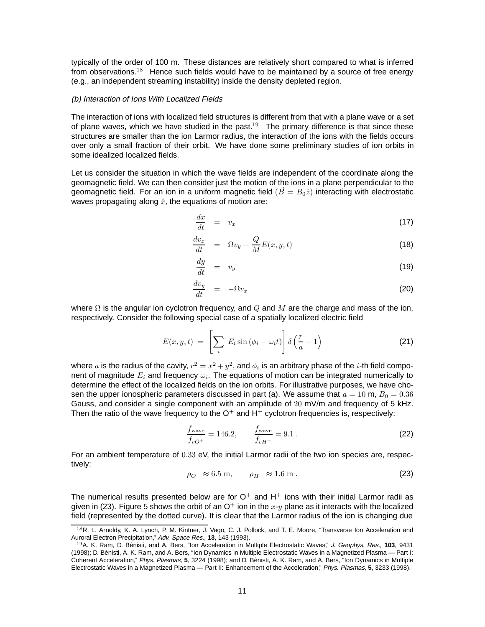typically of the order of 100 m. These distances are relatively short compared to what is inferred from observations.<sup>18</sup> Hence such fields would have to be maintained by a source of free energy (e.g., an independent streaming instability) inside the density depleted region.

#### (b) Interaction of Ions With Localized Fields

The interaction of ions with localized field structures is different from that with a plane wave or a set of plane waves, which we have studied in the past.<sup>19</sup> The primary difference is that since these structures are smaller than the ion Larmor radius, the interaction of the ions with the fields occurs over only a small fraction of their orbit. We have done some preliminary studies of ion orbits in some idealized localized fields.

Let us consider the situation in which the wave fields are independent of the coordinate along the geomagnetic field. We can then consider just the motion of the ions in a plane perpendicular to the geomagnetic field. For an ion in a uniform magnetic field  $(\vec{B} = B_0\hat{z})$  interacting with electrostatic waves propagating along  $\hat{x}$ , the equations of motion are:

$$
\frac{dx}{dt} = v_x \tag{17}
$$

$$
\frac{dv_x}{dt} = \Omega v_y + \frac{Q}{M} E(x, y, t) \tag{18}
$$

$$
\frac{dy}{dt} = v_y \tag{19}
$$

$$
\frac{dv_y}{dt} = -\Omega v_x \tag{20}
$$

where  $\Omega$  is the angular ion cyclotron frequency, and  $Q$  and  $M$  are the charge and mass of the ion, respectively. Consider the following special case of a spatially localized electric field

$$
E(x, y, t) = \left[\sum_{i} E_{i} \sin \left(\phi_{i} - \omega_{i} t\right)\right] \delta \left(\frac{r}{a} - 1\right)
$$
 (21)

where a is the radius of the cavity,  $r^2 = x^2 + y^2$ , and  $\phi_i$  is an arbitrary phase of the i-th field component of magnitude  $E_i$  and frequency  $\omega_i$ . The equations of motion can be integrated numerically to determine the effect of the localized fields on the ion orbits. For illustrative purposes, we have chosen the upper ionospheric parameters discussed in part (a). We assume that  $a = 10$  m,  $B_0 = 0.36$ Gauss, and consider a single component with an amplitude of 20 mV/m and frequency of 5 kHz. Then the ratio of the wave frequency to the  $O^+$  and  $H^+$  cyclotron frequencies is, respectively:

$$
\frac{f_{\text{wave}}}{f_{cO^{+}}} = 146.2, \qquad \frac{f_{\text{wave}}}{f_{cH^{+}}} = 9.1 \,. \tag{22}
$$

For an ambient temperature of 0.33 eV, the initial Larmor radii of the two ion species are, respectively:

$$
\rho_{O^+} \approx 6.5 \text{ m}, \qquad \rho_{H^+} \approx 1.6 \text{ m}. \tag{23}
$$

The numerical results presented below are for  $O^+$  and H<sup>+</sup> ions with their initial Larmor radii as given in (23). Figure 5 shows the orbit of an  $O^+$  ion in the  $x-y$  plane as it interacts with the localized field (represented by the dotted curve). It is clear that the Larmor radius of the ion is changing due

<sup>18</sup>R. L. Arnoldy, K. A. Lynch, P. M. Kintner, J. Vago, C. J. Pollock, and T. E. Moore, "Transverse Ion Acceleration and Auroral Electron Precipitation," Adv. Space Res., **13**, 143 (1993).

<sup>19</sup>A. K. Ram, D. Benisti, and A. Bers, "Ion Acceleration in Multiple Electrostatic Waves," ´ J. Geophys. Res., **103**, 9431 (1998); D. Benisti, A. K. Ram, and A. Bers, "Ion Dynamics in Multiple Electrostatic Waves in a Magnetized Plasma — Part I: ´ Coherent Acceleration," Phys. Plasmas, **5**, 3224 (1998); and D. Benisti, A. K. Ram, and A. Bers, "Ion Dynamics in Multiple ´ Electrostatic Waves in a Magnetized Plasma — Part II: Enhancement of the Acceleration," Phys. Plasmas, **5**, 3233 (1998).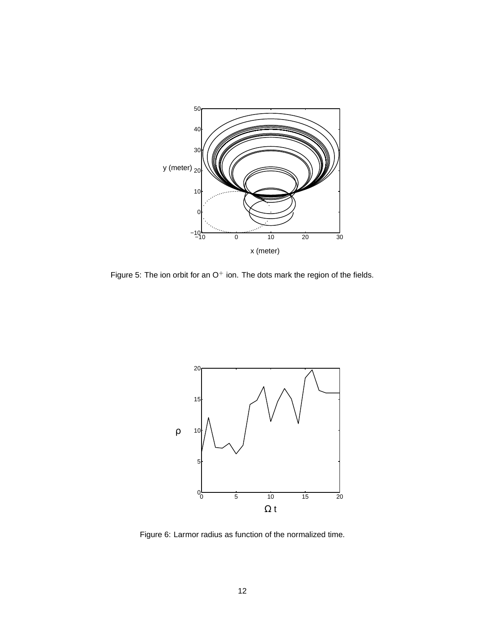

Figure 5: The ion orbit for an  $O^+$  ion. The dots mark the region of the fields.



Figure 6: Larmor radius as function of the normalized time.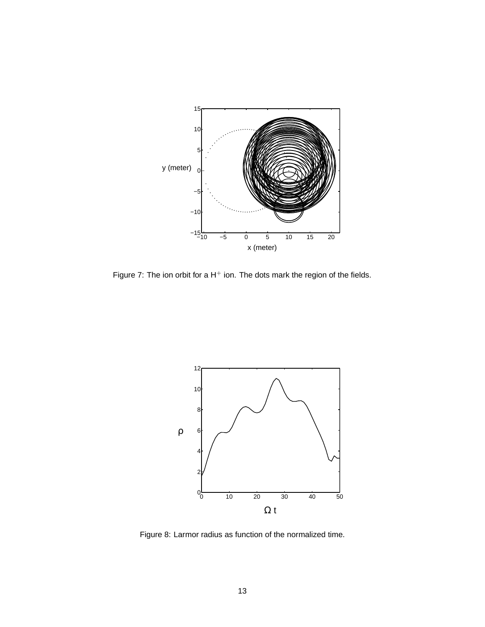

Figure 7: The ion orbit for a  $H^+$  ion. The dots mark the region of the fields.



Figure 8: Larmor radius as function of the normalized time.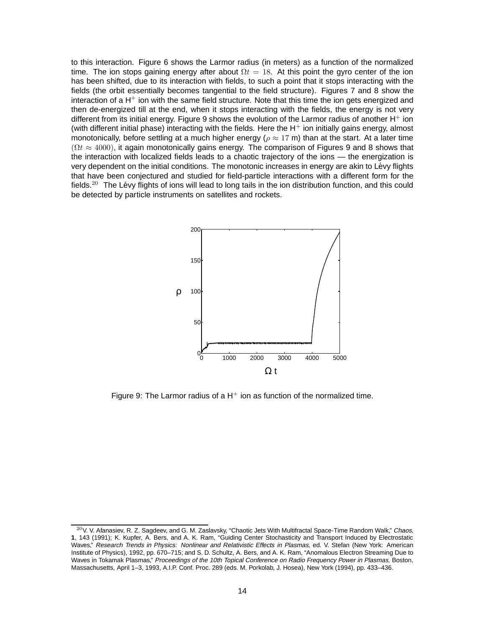to this interaction. Figure 6 shows the Larmor radius (in meters) as a function of the normalized time. The ion stops gaining energy after about  $\Omega t = 18$ . At this point the gyro center of the ion has been shifted, due to its interaction with fields, to such a point that it stops interacting with the fields (the orbit essentially becomes tangential to the field structure). Figures 7 and 8 show the interaction of a  $H^+$  ion with the same field structure. Note that this time the ion gets energized and then de-energized till at the end, when it stops interacting with the fields, the energy is not very different from its initial energy. Figure 9 shows the evolution of the Larmor radius of another  $H^+$  ion (with different initial phase) interacting with the fields. Here the  $H^{+}$  ion initially gains energy, almost monotonically, before settling at a much higher energy ( $\rho \approx 17$  m) than at the start. At a later time  $(\Omega t \approx 4000)$ , it again monotonically gains energy. The comparison of Figures 9 and 8 shows that the interaction with localized fields leads to a chaotic trajectory of the ions — the energization is very dependent on the initial conditions. The monotonic increases in energy are akin to Lévy flights that have been conjectured and studied for field-particle interactions with a different form for the fields.<sup>20</sup> The Lévy flights of ions will lead to long tails in the ion distribution function, and this could be detected by particle instruments on satellites and rockets.



Figure 9: The Larmor radius of a  $H^+$  ion as function of the normalized time.

 $20$ V. V. Afanasiev, R. Z. Sagdeev, and G. M. Zaslavsky, "Chaotic Jets With Multifractal Space-Time Random Walk," Chaos, **1**, 143 (1991); K. Kupfer, A. Bers, and A. K. Ram, "Guiding Center Stochasticity and Transport Induced by Electrostatic Waves," Research Trends in Physics: Nonlinear and Relativistic Effects in Plasmas, ed. V. Stefan (New York: American Institute of Physics), 1992, pp. 670–715; and S. D. Schultz, A. Bers, and A. K. Ram, "Anomalous Electron Streaming Due to Waves in Tokamak Plasmas," Proceedings of the 10th Topical Conference on Radio Frequency Power in Plasmas, Boston, Massachusetts, April 1–3, 1993, A.I.P. Conf. Proc. 289 (eds. M. Porkolab, J. Hosea), New York (1994), pp. 433–436.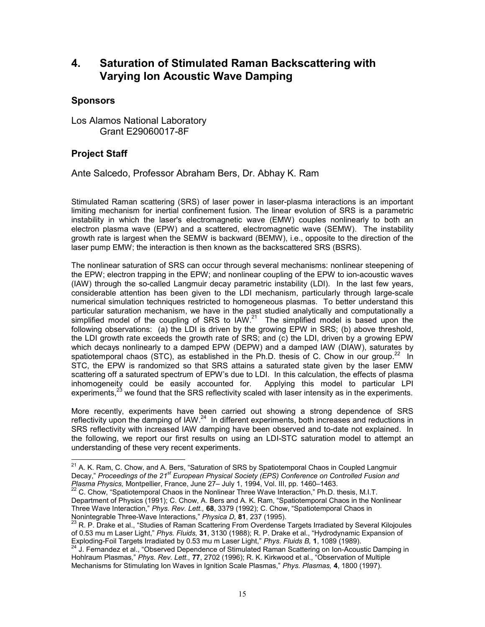# **4. Saturation of Stimulated Raman Backscattering with Varying Ion Acoustic Wave Damping**

## **Sponsors**

Los Alamos National Laboratory Grant E29060017-8F

## **Project Staff**

 $\overline{a}$ 

Ante Salcedo, Professor Abraham Bers, Dr. Abhay K. Ram

Stimulated Raman scattering (SRS) of laser power in laser-plasma interactions is an important limiting mechanism for inertial confinement fusion. The linear evolution of SRS is a parametric instability in which the laser's electromagnetic wave (EMW) couples nonlinearly to both an electron plasma wave (EPW) and a scattered, electromagnetic wave (SEMW). The instability growth rate is largest when the SEMW is backward (BEMW), i.e., opposite to the direction of the laser pump EMW; the interaction is then known as the backscattered SRS (BSRS).

The nonlinear saturation of SRS can occur through several mechanisms: nonlinear steepening of the EPW; electron trapping in the EPW; and nonlinear coupling of the EPW to ion-acoustic waves (IAW) through the so-called Langmuir decay parametric instability (LDI). In the last few years, considerable attention has been given to the LDI mechanism, particularly through large-scale numerical simulation techniques restricted to homogeneous plasmas. To better understand this particular saturation mechanism, we have in the past studied analytically and computationally a simplified model of the coupling of SRS to  $IAW<sup>21</sup>$  The simplified model is based upon the following observations: (a) the LDI is driven by the growing EPW in SRS; (b) above threshold, the LDI growth rate exceeds the growth rate of SRS; and (c) the LDI, driven by a growing EPW which decays nonlinearly to a damped EPW (DEPW) and a damped IAW (DIAW), saturates by spatiotemporal chaos (STC), as established in the Ph.D. thesis of C. Chow in our group.<sup>22</sup> In STC, the EPW is randomized so that SRS attains a saturated state given by the laser EMW scattering off a saturated spectrum of EPW's due to LDI. In this calculation, the effects of plasma inhomogeneity could be easily accounted for. Applying this model to particular LPI experiments,<sup>23</sup> we found that the SRS reflectivity scaled with laser intensity as in the experiments.

More recently, experiments have been carried out showing a strong dependence of SRS reflectivity upon the damping of  $IAW<sup>24</sup>$  In different experiments, both increases and reductions in SRS reflectivity with increased IAW damping have been observed and to-date not explained. In the following, we report our first results on using an LDI-STC saturation model to attempt an understanding of these very recent experiments.

<sup>&</sup>lt;sup>21</sup> A. K. Ram, C. Chow, and A. Bers, "Saturation of SRS by Spatiotemporal Chaos in Coupled Langmuir Decay," *Proceedings of the 21st European Physical Society (EPS) Conference on Controlled Fusion and Plasma Physics,* Montpellier, France, June 27– July 1, 1994, Vol. III, pp. 1460–1463. 22 C. Chow, "Spatiotemporal Chaos in the Nonlinear Three Wave Interaction," Ph.D. thesis, M.I.T.

Department of Physics (1991); C. Chow, A. Bers and A. K. Ram, "Spatiotemporal Chaos in the Nonlinear Three Wave Interaction," *Phys. Rev. Lett.,* **68**, 3379 (1992); C. Chow, "Spatiotemporal Chaos in Nonintegrable Three-Wave Interactions," *Physica D,* 81, 237 (1995).<br><sup>23</sup> R. P. Drake et al., "Studies of Raman Scattering From Overdense Targets Irradiated by Several Kilojoules

of 0.53 mu m Laser Light," *Phys. Fluids,* **31**, 3130 (1988); R. P. Drake et al., "Hydrodynamic Expansion of Exploding-Foil Targets Irradiated by 0.53 mu m Laser Light," *Phys. Fluids B,* **1**, 1089 (1989).<br><sup>24</sup> J. Fernandez et al., "Observed Dependence of Stimulated Raman Scattering on Ion-Acoustic Damping in

Hohlraum Plasmas," *Phys. Rev. Lett.,* **77**, 2702 (1996); R. K. Kirkwood et al., "Observation of Multiple Mechanisms for Stimulating Ion Waves in Ignition Scale Plasmas," *Phys. Plasmas,* **4**, 1800 (1997).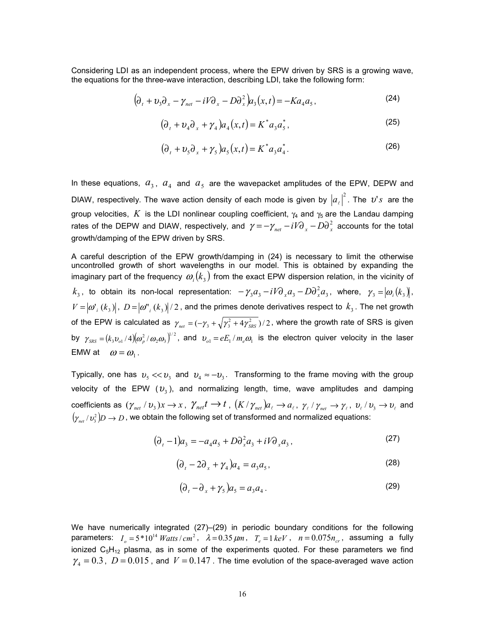Considering LDI as an independent process, where the EPW driven by SRS is a growing wave, the equations for the three-wave interaction, describing LDI, take the following form:

$$
\left(\partial_t + \nu_3 \partial_x - \gamma_{net} - iV \partial_x - D \partial_x^2 \right) a_3(x, t) = -Ka_4 a_5, \tag{24}
$$

$$
\left(\partial_t + \partial_4 \partial_x + \gamma_4\right) a_4(x,t) = K^* a_3 a_5^*,\tag{25}
$$

$$
(\partial_t + v_5 \partial_x + \gamma_5) a_5(x, t) = K^* a_3 a_4^*.
$$
 (26)

In these equations,  $a_3$ ,  $a_4$  and  $a_5$  are the wavepacket amplitudes of the EPW, DEPW and DIAW, respectively. The wave action density of each mode is given by  $\left|a_{_{\ell}}\right|^{2}$ . The  $\bm{\nu}$ 's are the group velocities, K is the LDI nonlinear coupling coefficient,  $\gamma_4$  and  $\gamma_5$  are the Landau damping rates of the DEPW and DIAW, respectively, and  $\gamma = -\gamma_{_{net}} - iV\partial_{_{x}} - D\partial_{_{x}}^{^{2}}$  accounts for the total growth/damping of the EPW driven by SRS.

A careful description of the EPW growth/damping in (24) is necessary to limit the otherwise uncontrolled growth of short wavelengths in our model. This is obtained by expanding the imaginary part of the frequency  $\omega_i ( k_3 )$  from the exact EPW dispersion relation, in the vicinity of  $k_3$ , to obtain its non-local representation:  $-\gamma_3 a_3 -iV\partial_{x}a_3-D\partial_{x}^2a_3$ , where,  $\gamma_3=|\omega_i(k_3)|$ ,  $V = [\omega', (k_3)]$ ,  $D = [\omega'', (k_3)]/2$ , and the primes denote derivatives respect to  $k_3$ . The net growth of the EPW is calculated as  $\ \gamma_{_{net}}= (-\gamma_{_3}+\sqrt{\gamma_{_3}^2+4\gamma_{_{SRS}}^2}\ )/ \,2$  , where the growth rate of SRS is given by  $\gamma_{_{SRS}}=(k_3v_{_{o1}}/4)(\omega_p^2/\omega_2\omega_3)^{1/2}$ , and  $v_{_{o1}}=eE_1/m_e\omega_1$  is the electron quiver velocity in the laser EMW at  $\omega = \omega_1$ .

Typically, one has  $v_5 \ll v_3$  and  $v_4 \approx -v_3$ . Transforming to the frame moving with the group velocity of the EPW  $(v_3)$ , and normalizing length, time, wave amplitudes and damping coefficients as  $(\gamma_{net} / v_3) x \to x$ ,  $\gamma_{net} t \to t$ ,  $(K / \gamma_{net}) a_\ell \to a_\ell$ ,  $\gamma_{\ell} / \gamma_{net} \to \gamma_{\ell}$ ,  $v_{\ell} / v_3 \to v_{\ell}$  and  $(\gamma_{_{net}}/\nu^2_{_3})D\to D$  , we obtain the following set of transformed and normalized equations:

$$
(\partial_t - 1)a_3 = -a_4 a_5 + D \partial_x^2 a_3 + iV \partial_x a_3,
$$
\n<sup>(27)</sup>

$$
\left(\partial_t - 2\partial_x + \gamma_4\right) a_4 = a_3 a_5,\tag{28}
$$

$$
(\partial_t - \partial_x + \gamma_5)\alpha_5 = a_3 a_4. \tag{29}
$$

We have numerically integrated (27)–(29) in periodic boundary conditions for the following parameters:  $I_o = 5*10^{14}$  *Watts* / cm<sup>2</sup>,  $\lambda = 0.35 \ \mu m$ ,  $T_e = 1 \ keV$ ,  $n = 0.075 n_{cr}$ , assuming a fully ionized  $C_5H_{12}$  plasma, as in some of the experiments quoted. For these parameters we find  $\gamma_4 = 0.3$ ,  $D = 0.015$ , and  $V = 0.147$ . The time evolution of the space-averaged wave action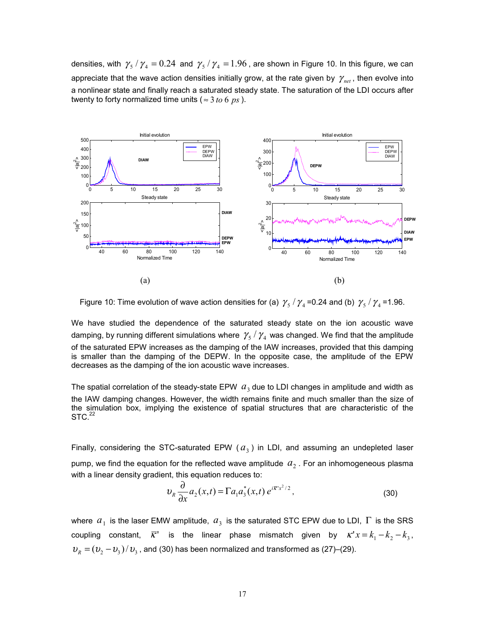densities, with  $\gamma_s / \gamma_4 = 0.24$  and  $\gamma_s / \gamma_4 = 1.96$ , are shown in Figure 10. In this figure, we can appreciate that the wave action densities initially grow, at the rate given by  $\gamma_{net}$ , then evolve into a nonlinear state and finally reach a saturated steady state. The saturation of the LDI occurs after twenty to forty normalized time units ( $\approx$  3 *to* 6  $\,$  ps ).



Figure 10: Time evolution of wave action densities for (a)  $\gamma_5 / \gamma_4$  =0.24 and (b)  $\gamma_5 / \gamma_4$  =1.96.

We have studied the dependence of the saturated steady state on the ion acoustic wave damping, by running different simulations where  $\gamma_5 / \gamma_4$  was changed. We find that the amplitude of the saturated EPW increases as the damping of the IAW increases, provided that this damping is smaller than the damping of the DEPW. In the opposite case, the amplitude of the EPW decreases as the damping of the ion acoustic wave increases.

The spatial correlation of the steady-state EPW  $a_3$  due to LDI changes in amplitude and width as the IAW damping changes. However, the width remains finite and much smaller than the size of the simulation box, implying the existence of spatial structures that are characteristic of the  $STC.<sup>22</sup>$ 

Finally, considering the STC-saturated EPW  $(a_3)$  in LDI, and assuming an undepleted laser pump, we find the equation for the reflected wave amplitude  $a_2$ . For an inhomogeneous plasma with a linear density gradient, this equation reduces to:

$$
\upsilon_R \frac{\partial}{\partial x} a_2(x,t) = \Gamma a_1 a_3^*(x,t) e^{i\overline{\kappa}^2 x^2/2},\tag{30}
$$

where  $a_1$  is the laser EMW amplitude,  $a_3$  is the saturated STC EPW due to LDI,  $\Gamma$  is the SRS coupling constant,  $\overline{K}$  is the linear phase mismatch given by  $K' x = k_1 - k_2 - k_3$ ,  $v_R = (v_2 - v_3)/v_3$ , and (30) has been normalized and transformed as (27)–(29).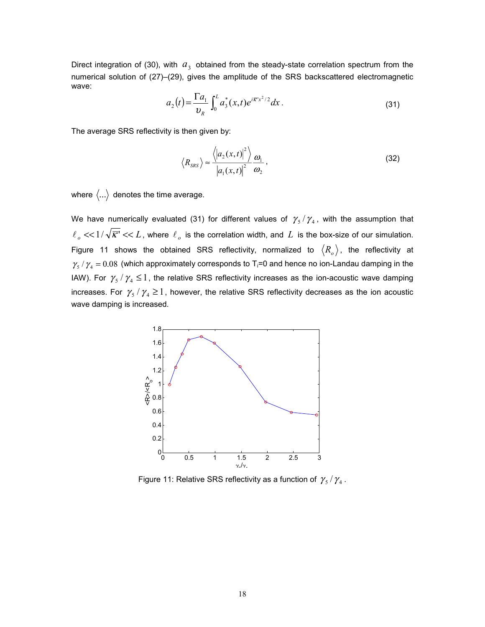Direct integration of (30), with  $a_3$  obtained from the steady-state correlation spectrum from the numerical solution of (27)–(29), gives the amplitude of the SRS backscattered electromagnetic wave:

$$
a_2(t) = \frac{\Gamma a_1}{v_R} \int_0^L a_3^*(x, t) e^{i\overline{K}^* x^2/2} dx.
$$
 (31)

The average SRS reflectivity is then given by:

$$
\left\langle R_{SRS} \right\rangle \approx \frac{\left\langle \left| a_2(x,t) \right|^2 \right\rangle}{\left| a_1(x,t) \right|^2} \frac{\omega_1}{\omega_2},\tag{32}
$$

where  $\langle ... \rangle$  denotes the time average.

We have numerically evaluated (31) for different values of  $\gamma_5 / \gamma_4$ , with the assumption that  $\ell_{\alpha} \ll 1/\sqrt{\overline{K}'} \ll L$ , where  $\ell_{\alpha}$  is the correlation width, and  $L$  is the box-size of our simulation. Figure 11 shows the obtained SRS reflectivity, normalized to  $\langle R_o \rangle$ , the reflectivity at  $\gamma_{\rm s}$  /  $\gamma_{\rm 4}$  = 0.08 (which approximately corresponds to T<sub>i</sub>=0 and hence no ion-Landau damping in the IAW). For  $\gamma_5 / \gamma_4 \leq 1$ , the relative SRS reflectivity increases as the ion-acoustic wave damping increases. For  $\gamma_5 / \gamma_4 \ge 1$ , however, the relative SRS reflectivity decreases as the ion acoustic wave damping is increased.



Figure 11: Relative SRS reflectivity as a function of  $\gamma_{5} / \gamma_{4}$ .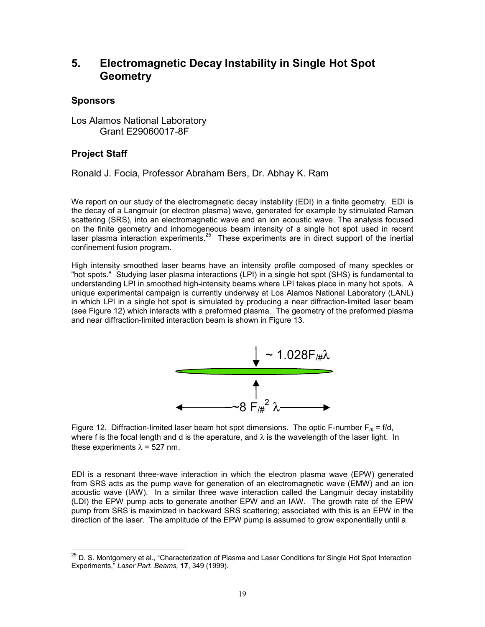# **5. Electromagnetic Decay Instability in Single Hot Spot Geometry**

## **Sponsors**

Los Alamos National Laboratory Grant E29060017-8F

## **Project Staff**

Ronald J. Focia, Professor Abraham Bers, Dr. Abhay K. Ram

We report on our study of the electromagnetic decay instability (EDI) in a finite geometry. EDI is the decay of a Langmuir (or electron plasma) wave, generated for example by stimulated Raman scattering (SRS), into an electromagnetic wave and an ion acoustic wave. The analysis focused on the finite geometry and inhomogeneous beam intensity of a single hot spot used in recent laser plasma interaction experiments.<sup>25</sup> These experiments are in direct support of the inertial confinement fusion program.

High intensity smoothed laser beams have an intensity profile composed of many speckles or "hot spots." Studying laser plasma interactions (LPI) in a single hot spot (SHS) is fundamental to understanding LPI in smoothed high-intensity beams where LPI takes place in many hot spots. A unique experimental campaign is currently underway at Los Alamos National Laboratory (LANL) in which LPI in a single hot spot is simulated by producing a near diffraction-limited laser beam (see Figure 12) which interacts with a preformed plasma. The geometry of the preformed plasma and near diffraction-limited interaction beam is shown in Figure 13.



Figure 12. Diffraction-limited laser beam hot spot dimensions. The optic F-number  $F_{\mu\mu} = f/d$ , where f is the focal length and d is the aperature, and  $\lambda$  is the wavelength of the laser light. In these experiments  $\lambda$  = 527 nm.

EDI is a resonant three-wave interaction in which the electron plasma wave (EPW) generated from SRS acts as the pump wave for generation of an electromagnetic wave (EMW) and an ion acoustic wave (IAW). In a similar three wave interaction called the Langmuir decay instability (LDI) the EPW pump acts to generate another EPW and an IAW. The growth rate of the EPW pump from SRS is maximized in backward SRS scattering; associated with this is an EPW in the direction of the laser. The amplitude of the EPW pump is assumed to grow exponentially until a

 $\overline{a}$ <sup>25</sup> D. S. Montgomery et al., "Characterization of Plasma and Laser Conditions for Single Hot Spot Interaction Experiments," *Laser Part. Beams,* **17**, 349 (1999).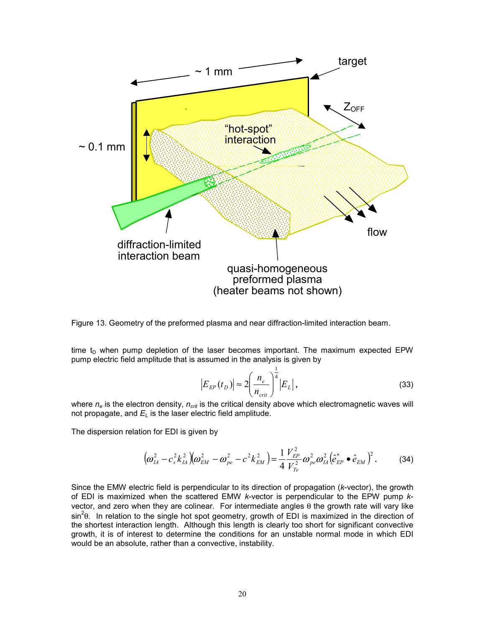

Figure 13. Geometry of the preformed plasma and near diffraction-limited interaction beam.

time  $t_D$  when pump depletion of the laser becomes important. The maximum expected EPW pump electric field amplitude that is assumed in the analysis is given by

$$
|E_{EP}(t_D)| \approx 2 \left(\frac{n_e}{n_{crit}}\right)^{\frac{1}{4}} |E_L|,
$$
 (33)

where  $n_e$  is the electron density,  $n_{crit}$  is the critical density above which electromagnetic waves will not propagate, and  $E_L$  is the laser electric field amplitude.

The dispersion relation for EDI is given by

$$
\left(\omega_{IA}^2 - c_s^2 k_{IA}^2\right)\left(\omega_{EM}^2 - \omega_{pe}^2 - c^2 k_{EM}^2\right) = \frac{1}{4} \frac{V_{EP}^2}{V_{Te}^2} \omega_{pe}^2 \omega_{IA}^2 \left(\hat{e}_{EP}^* \bullet \hat{e}_{EM}\right)^2.
$$
 (34)

Since the EMW electric field is perpendicular to its direction of propagation (*k*-vector), the growth of EDI is maximized when the scattered EMW *k*-vector is perpendicular to the EPW pump *k*vector, and zero when they are colinear. For intermediate angles θ the growth rate will vary like sin<sup>2</sup> $\theta$ . In relation to the single hot spot geometry, growth of EDI is maximized in the direction of the shortest interaction length. Although this length is clearly too short for significant convective growth, it is of interest to determine the conditions for an unstable normal mode in which EDI would be an absolute, rather than a convective, instability.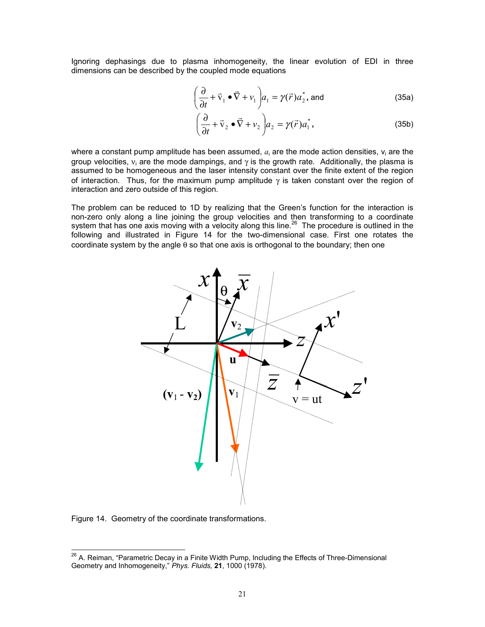Ignoring dephasings due to plasma inhomogeneity, the linear evolution of EDI in three dimensions can be described by the coupled mode equations

$$
\left(\frac{\partial}{\partial t} + \vec{v}_1 \bullet \vec{\nabla} + v_1\right) a_1 = \gamma(\vec{r}) a_2^*, \text{ and}
$$
 (35a)

$$
\left(\frac{\partial}{\partial t} + \vec{v}_2 \bullet \vec{\nabla} + v_2\right) a_2 = \gamma(\vec{r}) a_1^*,
$$
\n(35b)

where a constant pump amplitude has been assumed,  $a_i$  are the mode action densities,  $v_i$  are the group velocities,  $v_i$  are the mode dampings, and  $\gamma$  is the growth rate. Additionally, the plasma is assumed to be homogeneous and the laser intensity constant over the finite extent of the region of interaction. Thus, for the maximum pump amplitude  $\gamma$  is taken constant over the region of interaction and zero outside of this region.

The problem can be reduced to 1D by realizing that the Green's function for the interaction is non-zero only along a line joining the group velocities and then transforming to a coordinate system that has one axis moving with a velocity along this line.<sup>26</sup> The procedure is outlined in the following and illustrated in Figure 14 for the two-dimensional case. First one rotates the coordinate system by the angle  $\theta$  so that one axis is orthogonal to the boundary; then one



Figure 14. Geometry of the coordinate transformations.

 $\overline{a}$ 

<sup>&</sup>lt;sup>26</sup> A. Reiman, "Parametric Decay in a Finite Width Pump, Including the Effects of Three-Dimensional Geometry and Inhomogeneity," *Phys. Fluids,* **21**, 1000 (1978).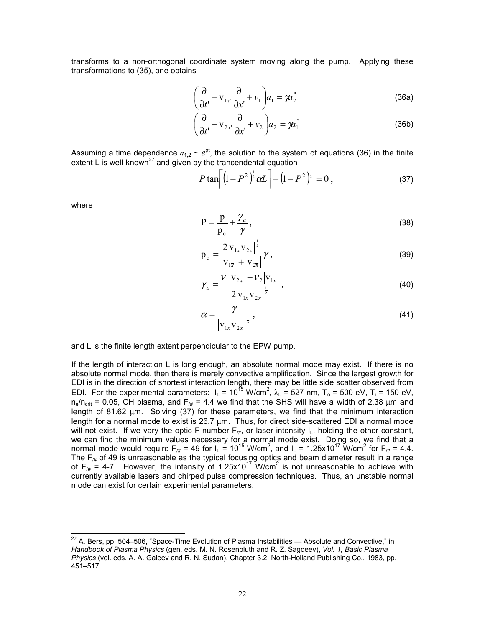transforms to a non-orthogonal coordinate system moving along the pump. Applying these transformations to (35), one obtains

$$
\left(\frac{\partial}{\partial t'} + \mathbf{V}_{1x'}\frac{\partial}{\partial x'} + \mathbf{V}_1\right) a_1 = \gamma a_2^*
$$
 (36a)

$$
\left(\frac{\partial}{\partial t'} + \mathbf{V}_{2x'}\frac{\partial}{\partial x'} + \mathbf{V}_2\right) a_2 = \gamma a_1^*
$$
\n(36b)

Assuming a time dependence  $a_{1,2} \sim e^{pt}$ , the solution to the system of equations (36) in the finite extent L is well-known<sup>27</sup> and given by the trancendental equation

$$
P \tan \left[ \left( 1 - P^2 \right)^{\frac{1}{2}} \alpha L \right] + \left( 1 - P^2 \right)^{\frac{1}{2}} = 0 , \qquad (37)
$$

where

 $\overline{a}$ 

$$
P = \frac{p}{p_o} + \frac{\gamma_a}{\gamma},\tag{38}
$$

$$
p_{o} = \frac{2|v_{1\bar{x}}v_{2\bar{x}}|^{\frac{1}{2}}}{|v_{1\bar{x}}| + |v_{2\bar{x}}|} \gamma,
$$
\n(39)

$$
\gamma_{\rm a} = \frac{V_1 |v_{2\bar{x}}| + V_2 |v_{1\bar{x}}|}{2 |v_{1\bar{x}} v_{2\bar{x}}|^{\frac{1}{2}}},\tag{40}
$$

$$
\alpha = \frac{\gamma}{\left|v_{1\overline{x}}v_{2\overline{x}}\right|^{\frac{1}{2}}},\tag{41}
$$

and L is the finite length extent perpendicular to the EPW pump.

If the length of interaction L is long enough, an absolute normal mode may exist. If there is no absolute normal mode, then there is merely convective amplification. Since the largest growth for EDI is in the direction of shortest interaction length, there may be little side scatter observed from EDI. For the experimental parameters:  $I_L = 10^{15}$  W/cm<sup>2</sup>,  $\lambda_L = 527$  nm, T<sub>e</sub> = 500 eV, T<sub>i</sub> = 150 eV,  $n_e/n_{crit}$  = 0.05, CH plasma, and F<sub>/#</sub> = 4.4 we find that the SHS will have a width of 2.38  $\mu$ m and length of 81.62 µm. Solving (37) for these parameters, we find that the minimum interaction length for a normal mode to exist is 26.7  $\mu$ m. Thus, for direct side-scattered EDI a normal mode will not exist. If we vary the optic F-number  $F_{/#}$ , or laser intensity  $I_L$ , holding the other constant, we can find the minimum values necessary for a normal mode exist. Doing so, we find that a normal mode would require F<sub>/#</sub> = 49 for I<sub>L</sub> = 10<sup>15</sup> W/cm<sup>2</sup>, and I<sub>L</sub> = 1.25x10<sup>17</sup> W/cm<sup>2</sup> for F<sub>/#</sub> = 4.4. The  $\mathsf{F}_{\#}$  of 49 is unreasonable as the typical focusing optics and beam diameter result in a range of F<sub>/#</sub> = 4-7. However, the intensity of 1.25x10<sup>17</sup> W/cm<sup>2</sup> is not unreasonable to achieve with currently available lasers and chirped pulse compression techniques. Thus, an unstable normal mode can exist for certain experimental parameters.

 $^{27}$  A. Bers, pp. 504–506, "Space-Time Evolution of Plasma Instabilities — Absolute and Convective," in *Handbook of Plasma Physics* (gen. eds. M. N. Rosenbluth and R. Z. Sagdeev), *Vol. 1, Basic Plasma Physics* (vol. eds. A. A. Galeev and R. N. Sudan), Chapter 3.2, North-Holland Publishing Co., 1983, pp. 451–517.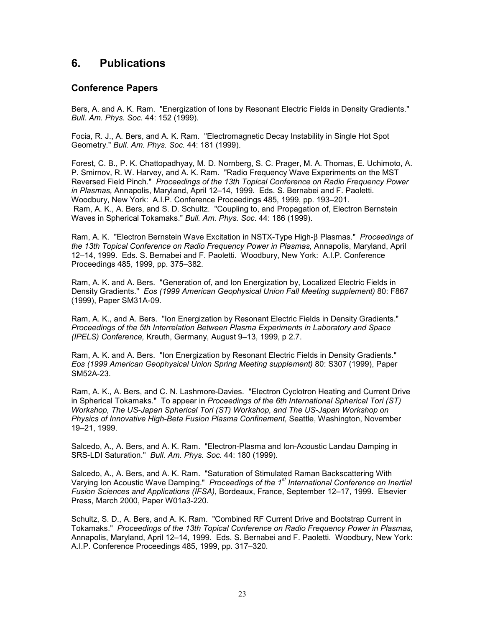# **6. Publications**

## **Conference Papers**

Bers, A. and A. K. Ram. "Energization of Ions by Resonant Electric Fields in Density Gradients." *Bull. Am. Phys. Soc.* 44: 152 (1999).

Focia, R. J., A. Bers, and A. K. Ram. "Electromagnetic Decay Instability in Single Hot Spot Geometry." *Bull. Am. Phys. Soc.* 44: 181 (1999).

Forest, C. B., P. K. Chattopadhyay, M. D. Nornberg, S. C. Prager, M. A. Thomas, E. Uchimoto, A. P. Smirnov, R. W. Harvey, and A. K. Ram. "Radio Frequency Wave Experiments on the MST Reversed Field Pinch." *Proceedings of the 13th Topical Conference on Radio Frequency Power in Plasmas,* Annapolis, Maryland, April 12–14, 1999. Eds. S. Bernabei and F. Paoletti. Woodbury, New York: A.I.P. Conference Proceedings 485, 1999, pp. 193–201. Ram, A. K., A. Bers, and S. D. Schultz. "Coupling to, and Propagation of, Electron Bernstein Waves in Spherical Tokamaks." *Bull. Am. Phys. Soc.* 44: 186 (1999).

Ram, A. K. "Electron Bernstein Wave Excitation in NSTX-Type High-β Plasmas." *Proceedings of the 13th Topical Conference on Radio Frequency Power in Plasmas,* Annapolis, Maryland, April 12–14, 1999. Eds. S. Bernabei and F. Paoletti. Woodbury, New York: A.I.P. Conference Proceedings 485, 1999, pp. 375–382.

Ram, A. K. and A. Bers. "Generation of, and Ion Energization by, Localized Electric Fields in Density Gradients." *Eos (1999 American Geophysical Union Fall Meeting supplement)* 80: F867 (1999), Paper SM31A-09.

Ram, A. K., and A. Bers. "Ion Energization by Resonant Electric Fields in Density Gradients." *Proceedings of the 5th Interrelation Between Plasma Experiments in Laboratory and Space (IPELS) Conference,* Kreuth, Germany, August 9–13, 1999, p 2.7.

Ram, A. K. and A. Bers. "Ion Energization by Resonant Electric Fields in Density Gradients." *Eos (1999 American Geophysical Union Spring Meeting supplement)* 80: S307 (1999), Paper SM52A-23.

Ram, A. K., A. Bers, and C. N. Lashmore-Davies. "Electron Cyclotron Heating and Current Drive in Spherical Tokamaks." To appear in *Proceedings of the 6th International Spherical Tori (ST) Workshop, The US-Japan Spherical Tori (ST) Workshop, and The US-Japan Workshop on Physics of Innovative High-Beta Fusion Plasma Confinement,* Seattle, Washington, November 19–21, 1999.

Salcedo, A., A. Bers, and A. K. Ram. "Electron-Plasma and Ion-Acoustic Landau Damping in SRS-LDI Saturation." *Bull. Am. Phys. Soc.* 44: 180 (1999).

Salcedo, A., A. Bers, and A. K. Ram. "Saturation of Stimulated Raman Backscattering With Varying Ion Acoustic Wave Damping." *Proceedings of the 1st International Conference on Inertial Fusion Sciences and Applications (IFSA)*, Bordeaux, France, September 12–17, 1999. Elsevier Press, March 2000, Paper W01a3-220.

Schultz, S. D., A. Bers, and A. K. Ram. "Combined RF Current Drive and Bootstrap Current in Tokamaks." *Proceedings of the 13th Topical Conference on Radio Frequency Power in Plasmas,* Annapolis, Maryland, April 12–14, 1999. Eds. S. Bernabei and F. Paoletti. Woodbury, New York: A.I.P. Conference Proceedings 485, 1999, pp. 317–320.